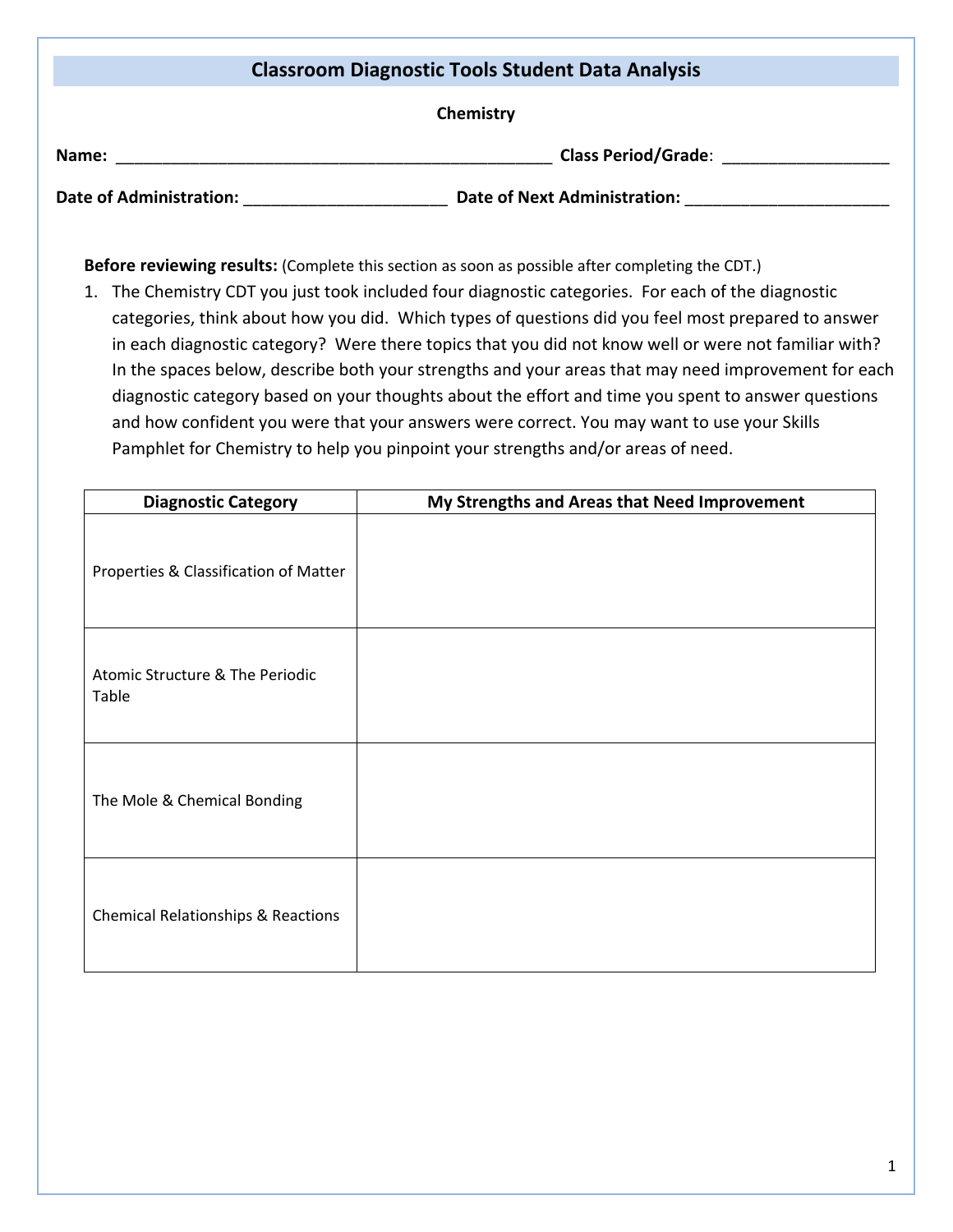| <b>Classroom Diagnostic Tools Student Data Analysis</b> |                                     |  |  |
|---------------------------------------------------------|-------------------------------------|--|--|
|                                                         | Chemistry                           |  |  |
| Name:                                                   | <b>Class Period/Grade:</b>          |  |  |
| <b>Date of Administration:</b>                          | <b>Date of Next Administration:</b> |  |  |

**Before reviewing results:** (Complete this section as soon as possible after completing the CDT.)

1. The Chemistry CDT you just took included four diagnostic categories. For each of the diagnostic categories, think about how you did. Which types of questions did you feel most prepared to answer in each diagnostic category? Were there topics that you did not know well or were not familiar with? In the spaces below, describe both your strengths and your areas that may need improvement for each diagnostic category based on your thoughts about the effort and time you spent to answer questions and how confident you were that your answers were correct. You may want to use your Skills Pamphlet for Chemistry to help you pinpoint your strengths and/or areas of need.

| <b>Diagnostic Category</b>                    | My Strengths and Areas that Need Improvement |
|-----------------------------------------------|----------------------------------------------|
| Properties & Classification of Matter         |                                              |
| Atomic Structure & The Periodic<br>Table      |                                              |
| The Mole & Chemical Bonding                   |                                              |
| <b>Chemical Relationships &amp; Reactions</b> |                                              |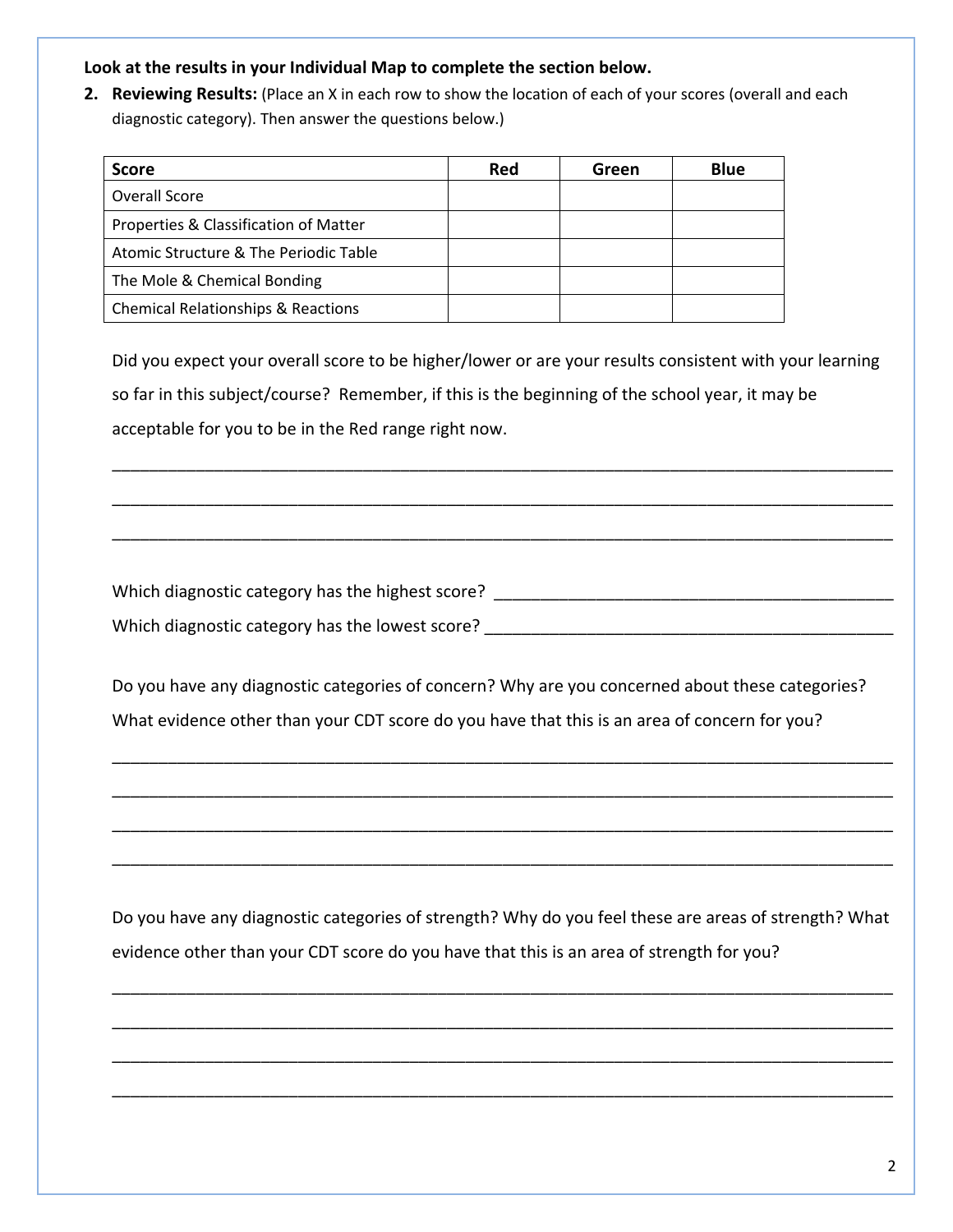## **Look at the results in your Individual Map to complete the section below.**

**2. Reviewing Results:** (Place an X in each row to show the location of each of your scores (overall and each diagnostic category). Then answer the questions below.)

| <b>Score</b>                                  | Red | Green | <b>Blue</b> |
|-----------------------------------------------|-----|-------|-------------|
| Overall Score                                 |     |       |             |
| Properties & Classification of Matter         |     |       |             |
| Atomic Structure & The Periodic Table         |     |       |             |
| The Mole & Chemical Bonding                   |     |       |             |
| <b>Chemical Relationships &amp; Reactions</b> |     |       |             |

Did you expect your overall score to be higher/lower or are your results consistent with your learning so far in this subject/course? Remember, if this is the beginning of the school year, it may be acceptable for you to be in the Red range right now.

\_\_\_\_\_\_\_\_\_\_\_\_\_\_\_\_\_\_\_\_\_\_\_\_\_\_\_\_\_\_\_\_\_\_\_\_\_\_\_\_\_\_\_\_\_\_\_\_\_\_\_\_\_\_\_\_\_\_\_\_\_\_\_\_\_\_\_\_\_\_\_\_\_\_\_\_\_\_\_\_\_\_\_\_

\_\_\_\_\_\_\_\_\_\_\_\_\_\_\_\_\_\_\_\_\_\_\_\_\_\_\_\_\_\_\_\_\_\_\_\_\_\_\_\_\_\_\_\_\_\_\_\_\_\_\_\_\_\_\_\_\_\_\_\_\_\_\_\_\_\_\_\_\_\_\_\_\_\_\_\_\_\_\_\_\_\_\_\_

\_\_\_\_\_\_\_\_\_\_\_\_\_\_\_\_\_\_\_\_\_\_\_\_\_\_\_\_\_\_\_\_\_\_\_\_\_\_\_\_\_\_\_\_\_\_\_\_\_\_\_\_\_\_\_\_\_\_\_\_\_\_\_\_\_\_\_\_\_\_\_\_\_\_\_\_\_\_\_\_\_\_\_\_

Which diagnostic category has the highest score?  $\blacksquare$ Which diagnostic category has the lowest score?  $\blacksquare$ 

Do you have any diagnostic categories of concern? Why are you concerned about these categories? What evidence other than your CDT score do you have that this is an area of concern for you?

\_\_\_\_\_\_\_\_\_\_\_\_\_\_\_\_\_\_\_\_\_\_\_\_\_\_\_\_\_\_\_\_\_\_\_\_\_\_\_\_\_\_\_\_\_\_\_\_\_\_\_\_\_\_\_\_\_\_\_\_\_\_\_\_\_\_\_\_\_\_\_\_\_\_\_\_\_\_\_\_\_\_\_\_

\_\_\_\_\_\_\_\_\_\_\_\_\_\_\_\_\_\_\_\_\_\_\_\_\_\_\_\_\_\_\_\_\_\_\_\_\_\_\_\_\_\_\_\_\_\_\_\_\_\_\_\_\_\_\_\_\_\_\_\_\_\_\_\_\_\_\_\_\_\_\_\_\_\_\_\_\_\_\_\_\_\_\_\_

\_\_\_\_\_\_\_\_\_\_\_\_\_\_\_\_\_\_\_\_\_\_\_\_\_\_\_\_\_\_\_\_\_\_\_\_\_\_\_\_\_\_\_\_\_\_\_\_\_\_\_\_\_\_\_\_\_\_\_\_\_\_\_\_\_\_\_\_\_\_\_\_\_\_\_\_\_\_\_\_\_\_\_\_

\_\_\_\_\_\_\_\_\_\_\_\_\_\_\_\_\_\_\_\_\_\_\_\_\_\_\_\_\_\_\_\_\_\_\_\_\_\_\_\_\_\_\_\_\_\_\_\_\_\_\_\_\_\_\_\_\_\_\_\_\_\_\_\_\_\_\_\_\_\_\_\_\_\_\_\_\_\_\_\_\_\_\_\_

Do you have any diagnostic categories of strength? Why do you feel these are areas of strength? What evidence other than your CDT score do you have that this is an area of strength for you?

\_\_\_\_\_\_\_\_\_\_\_\_\_\_\_\_\_\_\_\_\_\_\_\_\_\_\_\_\_\_\_\_\_\_\_\_\_\_\_\_\_\_\_\_\_\_\_\_\_\_\_\_\_\_\_\_\_\_\_\_\_\_\_\_\_\_\_\_\_\_\_\_\_\_\_\_\_\_\_\_\_\_\_\_

\_\_\_\_\_\_\_\_\_\_\_\_\_\_\_\_\_\_\_\_\_\_\_\_\_\_\_\_\_\_\_\_\_\_\_\_\_\_\_\_\_\_\_\_\_\_\_\_\_\_\_\_\_\_\_\_\_\_\_\_\_\_\_\_\_\_\_\_\_\_\_\_\_\_\_\_\_\_\_\_\_\_\_\_

\_\_\_\_\_\_\_\_\_\_\_\_\_\_\_\_\_\_\_\_\_\_\_\_\_\_\_\_\_\_\_\_\_\_\_\_\_\_\_\_\_\_\_\_\_\_\_\_\_\_\_\_\_\_\_\_\_\_\_\_\_\_\_\_\_\_\_\_\_\_\_\_\_\_\_\_\_\_\_\_\_\_\_\_

\_\_\_\_\_\_\_\_\_\_\_\_\_\_\_\_\_\_\_\_\_\_\_\_\_\_\_\_\_\_\_\_\_\_\_\_\_\_\_\_\_\_\_\_\_\_\_\_\_\_\_\_\_\_\_\_\_\_\_\_\_\_\_\_\_\_\_\_\_\_\_\_\_\_\_\_\_\_\_\_\_\_\_\_